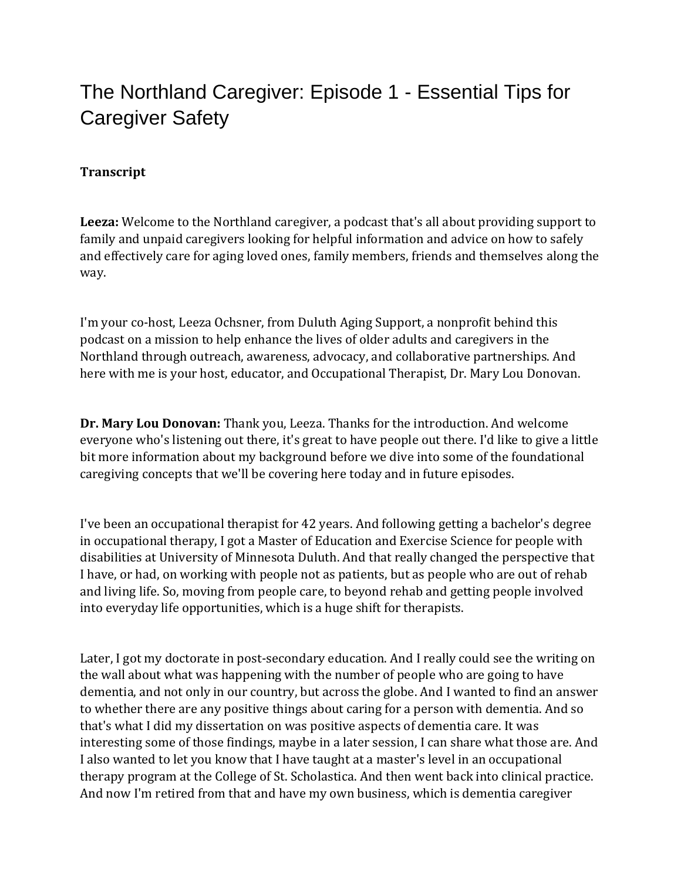## The Northland Caregiver: Episode 1 - Essential Tips for Caregiver Safety

## **Transcript**

**Leeza:** Welcome to the Northland caregiver, a podcast that's all about providing support to family and unpaid caregivers looking for helpful information and advice on how to safely and effectively care for aging loved ones, family members, friends and themselves along the way.

I'm your co-host, Leeza Ochsner, from Duluth Aging Support, a nonprofit behind this podcast on a mission to help enhance the lives of older adults and caregivers in the Northland through outreach, awareness, advocacy, and collaborative partnerships. And here with me is your host, educator, and Occupational Therapist, Dr. Mary Lou Donovan.

**Dr. Mary Lou Donovan:** Thank you, Leeza. Thanks for the introduction. And welcome everyone who's listening out there, it's great to have people out there. I'd like to give a little bit more information about my background before we dive into some of the foundational caregiving concepts that we'll be covering here today and in future episodes.

I've been an occupational therapist for 42 years. And following getting a bachelor's degree in occupational therapy, I got a Master of Education and Exercise Science for people with disabilities at University of Minnesota Duluth. And that really changed the perspective that I have, or had, on working with people not as patients, but as people who are out of rehab and living life. So, moving from people care, to beyond rehab and getting people involved into everyday life opportunities, which is a huge shift for therapists.

Later, I got my doctorate in post-secondary education. And I really could see the writing on the wall about what was happening with the number of people who are going to have dementia, and not only in our country, but across the globe. And I wanted to find an answer to whether there are any positive things about caring for a person with dementia. And so that's what I did my dissertation on was positive aspects of dementia care. It was interesting some of those findings, maybe in a later session, I can share what those are. And I also wanted to let you know that I have taught at a master's level in an occupational therapy program at the College of St. Scholastica. And then went back into clinical practice. And now I'm retired from that and have my own business, which is dementia caregiver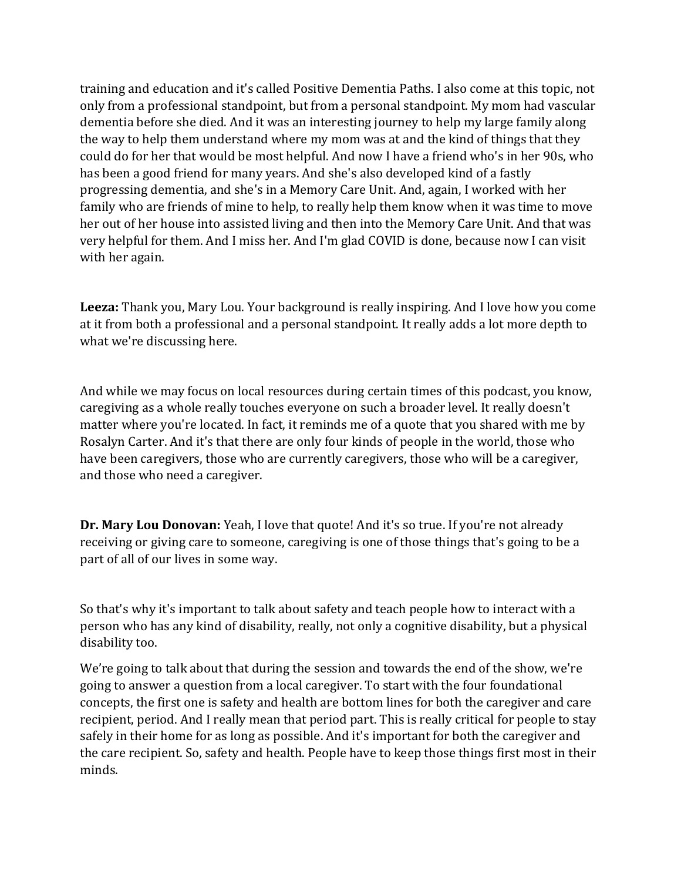training and education and it's called Positive Dementia Paths. I also come at this topic, not only from a professional standpoint, but from a personal standpoint. My mom had vascular dementia before she died. And it was an interesting journey to help my large family along the way to help them understand where my mom was at and the kind of things that they could do for her that would be most helpful. And now I have a friend who's in her 90s, who has been a good friend for many years. And she's also developed kind of a fastly progressing dementia, and she's in a Memory Care Unit. And, again, I worked with her family who are friends of mine to help, to really help them know when it was time to move her out of her house into assisted living and then into the Memory Care Unit. And that was very helpful for them. And I miss her. And I'm glad COVID is done, because now I can visit with her again.

**Leeza:** Thank you, Mary Lou. Your background is really inspiring. And I love how you come at it from both a professional and a personal standpoint. It really adds a lot more depth to what we're discussing here.

And while we may focus on local resources during certain times of this podcast, you know, caregiving as a whole really touches everyone on such a broader level. It really doesn't matter where you're located. In fact, it reminds me of a quote that you shared with me by Rosalyn Carter. And it's that there are only four kinds of people in the world, those who have been caregivers, those who are currently caregivers, those who will be a caregiver, and those who need a caregiver.

**Dr. Mary Lou Donovan:** Yeah, I love that quote! And it's so true. If you're not already receiving or giving care to someone, caregiving is one of those things that's going to be a part of all of our lives in some way.

So that's why it's important to talk about safety and teach people how to interact with a person who has any kind of disability, really, not only a cognitive disability, but a physical disability too.

We're going to talk about that during the session and towards the end of the show, we're going to answer a question from a local caregiver. To start with the four foundational concepts, the first one is safety and health are bottom lines for both the caregiver and care recipient, period. And I really mean that period part. This is really critical for people to stay safely in their home for as long as possible. And it's important for both the caregiver and the care recipient. So, safety and health. People have to keep those things first most in their minds.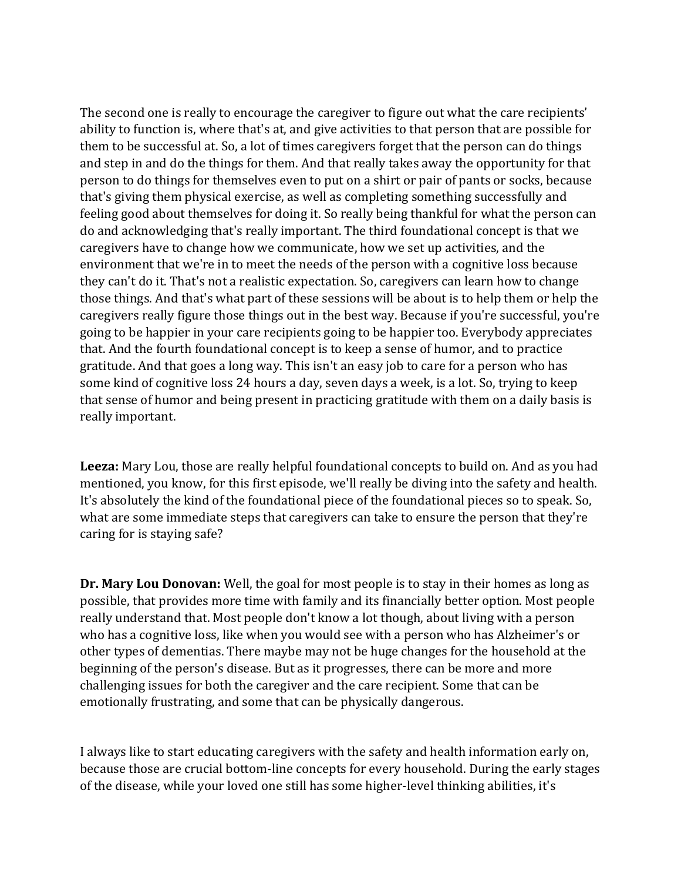The second one is really to encourage the caregiver to figure out what the care recipients' ability to function is, where that's at, and give activities to that person that are possible for them to be successful at. So, a lot of times caregivers forget that the person can do things and step in and do the things for them. And that really takes away the opportunity for that person to do things for themselves even to put on a shirt or pair of pants or socks, because that's giving them physical exercise, as well as completing something successfully and feeling good about themselves for doing it. So really being thankful for what the person can do and acknowledging that's really important. The third foundational concept is that we caregivers have to change how we communicate, how we set up activities, and the environment that we're in to meet the needs of the person with a cognitive loss because they can't do it. That's not a realistic expectation. So, caregivers can learn how to change those things. And that's what part of these sessions will be about is to help them or help the caregivers really figure those things out in the best way. Because if you're successful, you're going to be happier in your care recipients going to be happier too. Everybody appreciates that. And the fourth foundational concept is to keep a sense of humor, and to practice gratitude. And that goes a long way. This isn't an easy job to care for a person who has some kind of cognitive loss 24 hours a day, seven days a week, is a lot. So, trying to keep that sense of humor and being present in practicing gratitude with them on a daily basis is really important.

**Leeza:** Mary Lou, those are really helpful foundational concepts to build on. And as you had mentioned, you know, for this first episode, we'll really be diving into the safety and health. It's absolutely the kind of the foundational piece of the foundational pieces so to speak. So, what are some immediate steps that caregivers can take to ensure the person that they're caring for is staying safe?

**Dr. Mary Lou Donovan:** Well, the goal for most people is to stay in their homes as long as possible, that provides more time with family and its financially better option. Most people really understand that. Most people don't know a lot though, about living with a person who has a cognitive loss, like when you would see with a person who has Alzheimer's or other types of dementias. There maybe may not be huge changes for the household at the beginning of the person's disease. But as it progresses, there can be more and more challenging issues for both the caregiver and the care recipient. Some that can be emotionally frustrating, and some that can be physically dangerous.

I always like to start educating caregivers with the safety and health information early on, because those are crucial bottom-line concepts for every household. During the early stages of the disease, while your loved one still has some higher-level thinking abilities, it's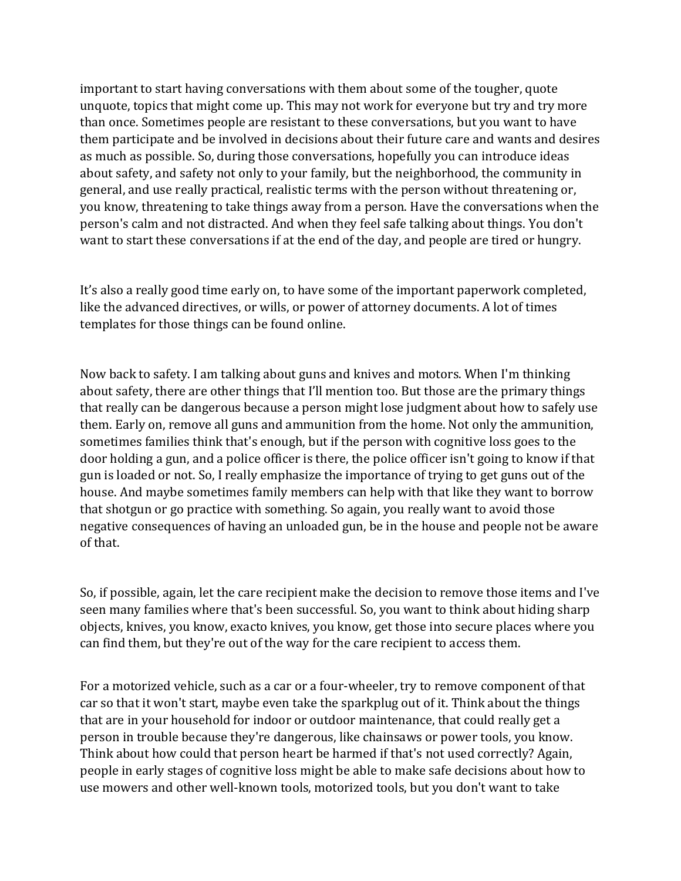important to start having conversations with them about some of the tougher, quote unquote, topics that might come up. This may not work for everyone but try and try more than once. Sometimes people are resistant to these conversations, but you want to have them participate and be involved in decisions about their future care and wants and desires as much as possible. So, during those conversations, hopefully you can introduce ideas about safety, and safety not only to your family, but the neighborhood, the community in general, and use really practical, realistic terms with the person without threatening or, you know, threatening to take things away from a person. Have the conversations when the person's calm and not distracted. And when they feel safe talking about things. You don't want to start these conversations if at the end of the day, and people are tired or hungry.

It's also a really good time early on, to have some of the important paperwork completed, like the advanced directives, or wills, or power of attorney documents. A lot of times templates for those things can be found online.

Now back to safety. I am talking about guns and knives and motors. When I'm thinking about safety, there are other things that I'll mention too. But those are the primary things that really can be dangerous because a person might lose judgment about how to safely use them. Early on, remove all guns and ammunition from the home. Not only the ammunition, sometimes families think that's enough, but if the person with cognitive loss goes to the door holding a gun, and a police officer is there, the police officer isn't going to know if that gun is loaded or not. So, I really emphasize the importance of trying to get guns out of the house. And maybe sometimes family members can help with that like they want to borrow that shotgun or go practice with something. So again, you really want to avoid those negative consequences of having an unloaded gun, be in the house and people not be aware of that.

So, if possible, again, let the care recipient make the decision to remove those items and I've seen many families where that's been successful. So, you want to think about hiding sharp objects, knives, you know, exacto knives, you know, get those into secure places where you can find them, but they're out of the way for the care recipient to access them.

For a motorized vehicle, such as a car or a four-wheeler, try to remove component of that car so that it won't start, maybe even take the sparkplug out of it. Think about the things that are in your household for indoor or outdoor maintenance, that could really get a person in trouble because they're dangerous, like chainsaws or power tools, you know. Think about how could that person heart be harmed if that's not used correctly? Again, people in early stages of cognitive loss might be able to make safe decisions about how to use mowers and other well-known tools, motorized tools, but you don't want to take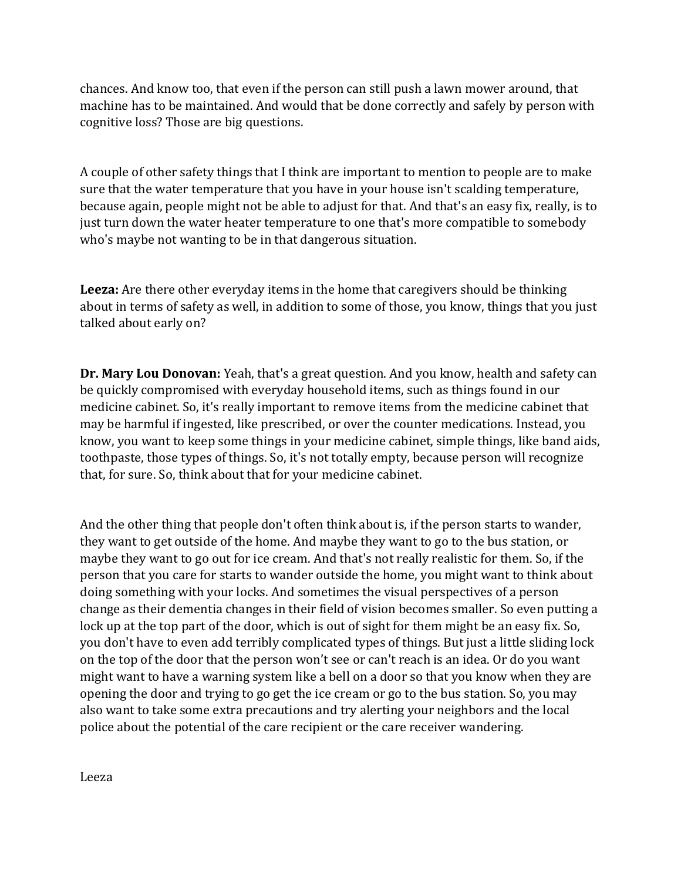chances. And know too, that even if the person can still push a lawn mower around, that machine has to be maintained. And would that be done correctly and safely by person with cognitive loss? Those are big questions.

A couple of other safety things that I think are important to mention to people are to make sure that the water temperature that you have in your house isn't scalding temperature, because again, people might not be able to adjust for that. And that's an easy fix, really, is to just turn down the water heater temperature to one that's more compatible to somebody who's maybe not wanting to be in that dangerous situation.

**Leeza:** Are there other everyday items in the home that caregivers should be thinking about in terms of safety as well, in addition to some of those, you know, things that you just talked about early on?

**Dr. Mary Lou Donovan:** Yeah, that's a great question. And you know, health and safety can be quickly compromised with everyday household items, such as things found in our medicine cabinet. So, it's really important to remove items from the medicine cabinet that may be harmful if ingested, like prescribed, or over the counter medications. Instead, you know, you want to keep some things in your medicine cabinet, simple things, like band aids, toothpaste, those types of things. So, it's not totally empty, because person will recognize that, for sure. So, think about that for your medicine cabinet.

And the other thing that people don't often think about is, if the person starts to wander, they want to get outside of the home. And maybe they want to go to the bus station, or maybe they want to go out for ice cream. And that's not really realistic for them. So, if the person that you care for starts to wander outside the home, you might want to think about doing something with your locks. And sometimes the visual perspectives of a person change as their dementia changes in their field of vision becomes smaller. So even putting a lock up at the top part of the door, which is out of sight for them might be an easy fix. So, you don't have to even add terribly complicated types of things. But just a little sliding lock on the top of the door that the person won't see or can't reach is an idea. Or do you want might want to have a warning system like a bell on a door so that you know when they are opening the door and trying to go get the ice cream or go to the bus station. So, you may also want to take some extra precautions and try alerting your neighbors and the local police about the potential of the care recipient or the care receiver wandering.

Leeza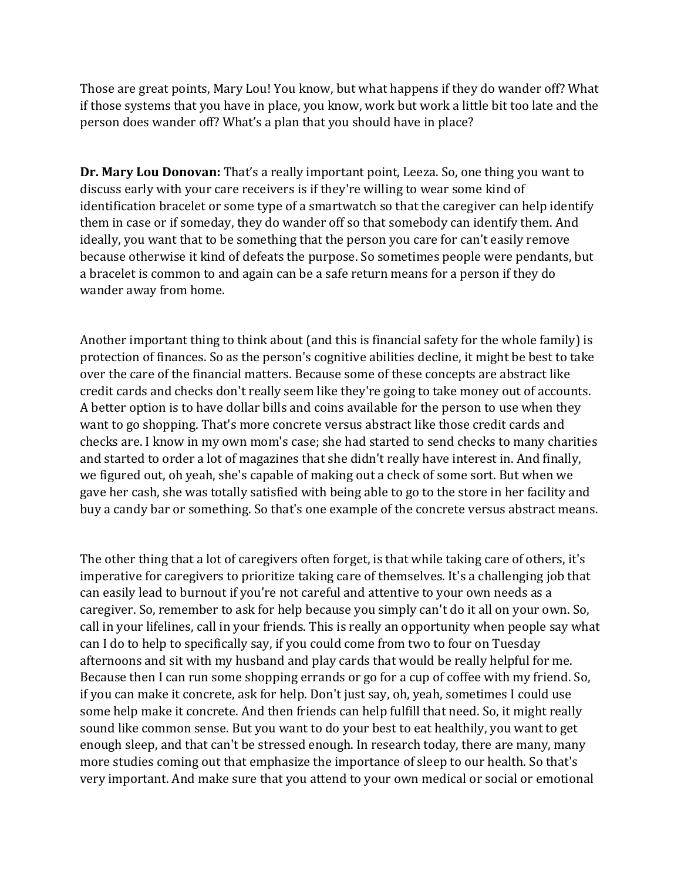Those are great points, Mary Lou! You know, but what happens if they do wander off? What if those systems that you have in place, you know, work but work a little bit too late and the person does wander off? What's a plan that you should have in place?

**Dr. Mary Lou Donovan:** That's a really important point, Leeza. So, one thing you want to discuss early with your care receivers is if they're willing to wear some kind of identification bracelet or some type of a smartwatch so that the caregiver can help identify them in case or if someday, they do wander off so that somebody can identify them. And ideally, you want that to be something that the person you care for can't easily remove because otherwise it kind of defeats the purpose. So sometimes people were pendants, but a bracelet is common to and again can be a safe return means for a person if they do wander away from home.

Another important thing to think about (and this is financial safety for the whole family) is protection of finances. So as the person's cognitive abilities decline, it might be best to take over the care of the financial matters. Because some of these concepts are abstract like credit cards and checks don't really seem like they're going to take money out of accounts. A better option is to have dollar bills and coins available for the person to use when they want to go shopping. That's more concrete versus abstract like those credit cards and checks are. I know in my own mom's case; she had started to send checks to many charities and started to order a lot of magazines that she didn't really have interest in. And finally, we figured out, oh yeah, she's capable of making out a check of some sort. But when we gave her cash, she was totally satisfied with being able to go to the store in her facility and buy a candy bar or something. So that's one example of the concrete versus abstract means.

The other thing that a lot of caregivers often forget, is that while taking care of others, it's imperative for caregivers to prioritize taking care of themselves. It's a challenging job that can easily lead to burnout if you're not careful and attentive to your own needs as a caregiver. So, remember to ask for help because you simply can't do it all on your own. So, call in your lifelines, call in your friends. This is really an opportunity when people say what can I do to help to specifically say, if you could come from two to four on Tuesday afternoons and sit with my husband and play cards that would be really helpful for me. Because then I can run some shopping errands or go for a cup of coffee with my friend. So, if you can make it concrete, ask for help. Don't just say, oh, yeah, sometimes I could use some help make it concrete. And then friends can help fulfill that need. So, it might really sound like common sense. But you want to do your best to eat healthily, you want to get enough sleep, and that can't be stressed enough. In research today, there are many, many more studies coming out that emphasize the importance of sleep to our health. So that's very important. And make sure that you attend to your own medical or social or emotional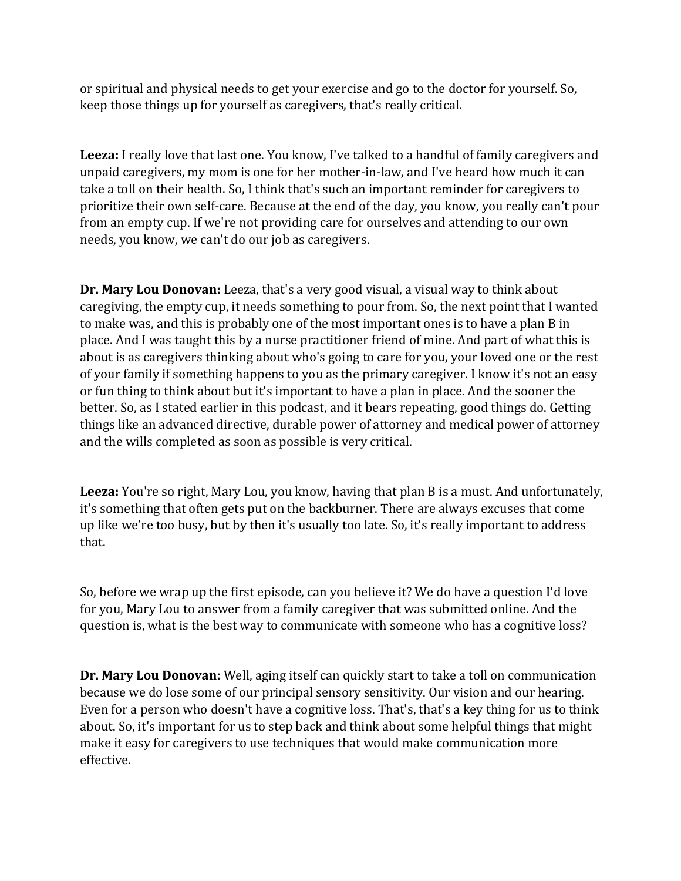or spiritual and physical needs to get your exercise and go to the doctor for yourself. So, keep those things up for yourself as caregivers, that's really critical.

**Leeza:** I really love that last one. You know, I've talked to a handful of family caregivers and unpaid caregivers, my mom is one for her mother-in-law, and I've heard how much it can take a toll on their health. So, I think that's such an important reminder for caregivers to prioritize their own self-care. Because at the end of the day, you know, you really can't pour from an empty cup. If we're not providing care for ourselves and attending to our own needs, you know, we can't do our job as caregivers.

**Dr. Mary Lou Donovan:** Leeza, that's a very good visual, a visual way to think about caregiving, the empty cup, it needs something to pour from. So, the next point that I wanted to make was, and this is probably one of the most important ones is to have a plan B in place. And I was taught this by a nurse practitioner friend of mine. And part of what this is about is as caregivers thinking about who's going to care for you, your loved one or the rest of your family if something happens to you as the primary caregiver. I know it's not an easy or fun thing to think about but it's important to have a plan in place. And the sooner the better. So, as I stated earlier in this podcast, and it bears repeating, good things do. Getting things like an advanced directive, durable power of attorney and medical power of attorney and the wills completed as soon as possible is very critical.

**Leeza:** You're so right, Mary Lou, you know, having that plan B is a must. And unfortunately, it's something that often gets put on the backburner. There are always excuses that come up like we're too busy, but by then it's usually too late. So, it's really important to address that.

So, before we wrap up the first episode, can you believe it? We do have a question I'd love for you, Mary Lou to answer from a family caregiver that was submitted online. And the question is, what is the best way to communicate with someone who has a cognitive loss?

**Dr. Mary Lou Donovan:** Well, aging itself can quickly start to take a toll on communication because we do lose some of our principal sensory sensitivity. Our vision and our hearing. Even for a person who doesn't have a cognitive loss. That's, that's a key thing for us to think about. So, it's important for us to step back and think about some helpful things that might make it easy for caregivers to use techniques that would make communication more effective.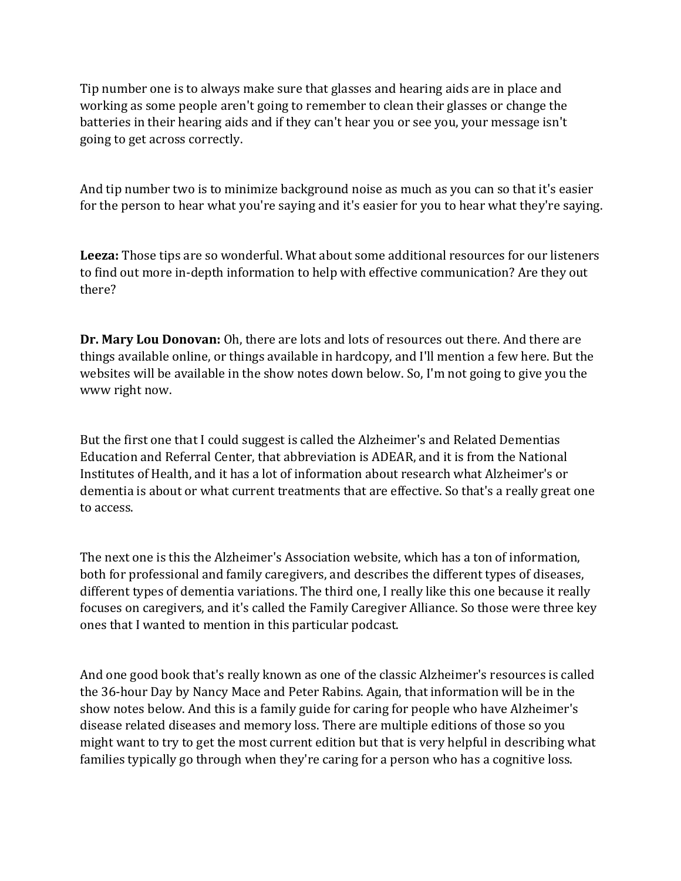Tip number one is to always make sure that glasses and hearing aids are in place and working as some people aren't going to remember to clean their glasses or change the batteries in their hearing aids and if they can't hear you or see you, your message isn't going to get across correctly.

And tip number two is to minimize background noise as much as you can so that it's easier for the person to hear what you're saying and it's easier for you to hear what they're saying.

**Leeza:** Those tips are so wonderful. What about some additional resources for our listeners to find out more in-depth information to help with effective communication? Are they out there?

**Dr. Mary Lou Donovan:** Oh, there are lots and lots of resources out there. And there are things available online, or things available in hardcopy, and I'll mention a few here. But the websites will be available in the show notes down below. So, I'm not going to give you the www right now.

But the first one that I could suggest is called the Alzheimer's and Related Dementias Education and Referral Center, that abbreviation is ADEAR, and it is from the National Institutes of Health, and it has a lot of information about research what Alzheimer's or dementia is about or what current treatments that are effective. So that's a really great one to access.

The next one is this the Alzheimer's Association website, which has a ton of information, both for professional and family caregivers, and describes the different types of diseases, different types of dementia variations. The third one, I really like this one because it really focuses on caregivers, and it's called the Family Caregiver Alliance. So those were three key ones that I wanted to mention in this particular podcast.

And one good book that's really known as one of the classic Alzheimer's resources is called the 36-hour Day by Nancy Mace and Peter Rabins. Again, that information will be in the show notes below. And this is a family guide for caring for people who have Alzheimer's disease related diseases and memory loss. There are multiple editions of those so you might want to try to get the most current edition but that is very helpful in describing what families typically go through when they're caring for a person who has a cognitive loss.